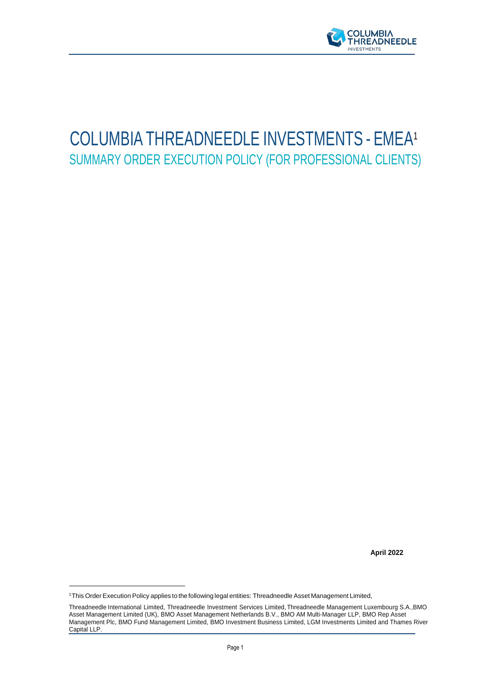

# COLUMBIA THREADNEEDLE INVESTMENTS - EMEA<sup>1</sup> SUMMARY ORDER EXECUTION POLICY (FOR PROFESSIONAL CLIENTS)

**April 2022** 

<sup>&</sup>lt;sup>1</sup>This Order Execution Policy applies to the following legal entities: Threadneedle Asset Management Limited,

Threadneedle International Limited, Threadneedle Investment Services Limited, Threadneedle Management Luxembourg S.A.,BMO Asset Management Limited (UK), BMO Asset Management Netherlands B.V., BMO AM Multi-Manager LLP, BMO Rep Asset Management Plc, BMO Fund Management Limited, BMO Investment Business Limited, LGM Investments Limited and Thames River Capital LLP.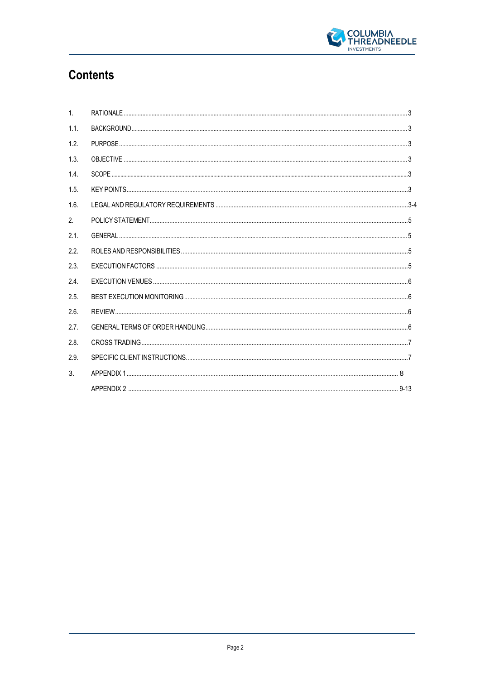

## **Contents**

| $\mathbf{1}$ . |  |
|----------------|--|
| 1.1.           |  |
| 1.2.           |  |
| 1.3.           |  |
| 1.4            |  |
| 1.5            |  |
| 1.6            |  |
| 2.             |  |
| 2.1            |  |
| 2.2.           |  |
| 2.3.           |  |
| 24             |  |
| 2.5.           |  |
| 2.6.           |  |
| 2.7.           |  |
| 2.8            |  |
| 2.9            |  |
| 3.             |  |
|                |  |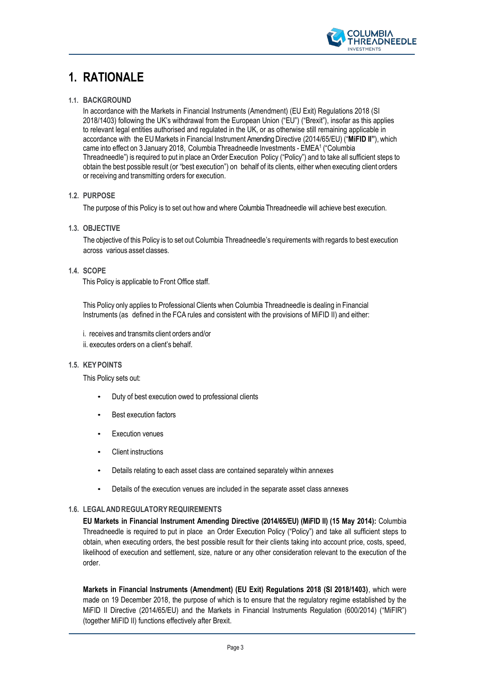

### <span id="page-2-0"></span>**1. RATIONALE**

#### <span id="page-2-1"></span>**1.1. BACKGROUND**

In accordance with the Markets in Financial Instruments (Amendment) (EU Exit) Regulations 2018 (SI 2018/1403) following the UK's withdrawal from the European Union ("EU") ("Brexit"), insofar as this applies to relevant legal entities authorised and regulated in the UK, or as otherwise still remaining applicable in accordance with the EUMarkets in Financial Instrument Amending Directive (2014/65/EU) ("**MiFID II"**), which came into effect on 3 January 2018, Columbia Threadneedle Investments - EMEA<sup>1</sup> ("Columbia Threadneedle") is required to put in place an Order Execution Policy ("Policy") and to take all sufficient steps to obtain the best possible result (or "best execution") on behalf of its clients, either when executing client orders or receiving and transmitting orders for execution.

#### <span id="page-2-2"></span>**1.2. PURPOSE**

The purpose of this Policy is to set out how and where Columbia Threadneedle will achieve best execution.

<span id="page-2-3"></span>**1.3. OBJECTIVE**

The objective of this Policy is to set out Columbia Threadneedle's requirements with regards to best execution across various asset classes.

#### <span id="page-2-4"></span>**1.4. SCOPE**

This Policy is applicable to Front Office staff.

This Policy only applies to Professional Clients when Columbia Threadneedle is dealing in Financial Instruments (as defined in the FCA rules and consistent with the provisions of MiFID II) and either:

i. receives and transmits client orders and/or ii. executes orders on a client's behalf.

#### <span id="page-2-5"></span>**1.5. KEYPOINTS**

This Policy sets out:

- Duty of best execution owed to professional clients
- **Best execution factors**
- **Execution venues**
- Client instructions
- Details relating to each asset class are contained separately within annexes
- Details of the execution venues are included in the separate asset class annexes

#### <span id="page-2-6"></span>**1.6. LEGALANDREGULATORYREQUIREMENTS**

**EU Markets in Financial Instrument Amending Directive (2014/65/EU) (MiFID II) (15 May 2014):** Columbia Threadneedle is required to put in place an Order Execution Policy ("Policy") and take all sufficient steps to obtain, when executing orders, the best possible result for their clients taking into account price, costs, speed, likelihood of execution and settlement, size, nature or any other consideration relevant to the execution of the order.

**Markets in Financial Instruments (Amendment) (EU Exit) Regulations 2018 (SI 2018/1403)**, which were made on 19 December 2018, the purpose of which is to ensure that the regulatory regime established by the MiFID II Directive (2014/65/EU) and the Markets in Financial Instruments Regulation (600/2014) ("MiFIR") (together MiFID II) functions effectively after Brexit.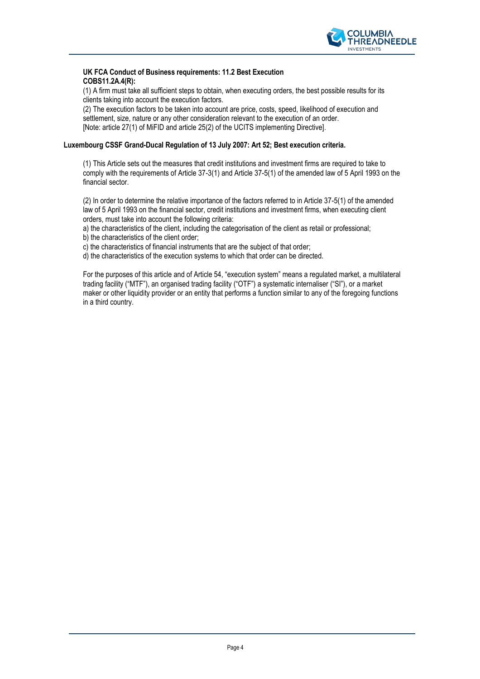

#### **UK FCA Conduct of Business requirements: 11.2 Best Execution COBS11.2A.4(R):**

(1) A firm must take all sufficient steps to obtain, when executing orders, the best possible results for its clients taking into account the execution factors.

(2) The execution factors to be taken into account are price, costs, speed, likelihood of execution and settlement, size, nature or any other consideration relevant to the execution of an order. [Note: article 27(1) of MiFID and article 25(2) of the UCITS implementing Directive].

#### **Luxembourg CSSF Grand-Ducal Regulation of 13 July 2007: Art 52; Best execution criteria.**

(1) This Article sets out the measures that credit institutions and investment firms are required to take to comply with the requirements of Article 37-3(1) and Article 37-5(1) of the amended law of 5 April 1993 on the financial sector.

(2) In order to determine the relative importance of the factors referred to in Article 37-5(1) of the amended law of 5 April 1993 on the financial sector, credit institutions and investment firms, when executing client orders, must take into account the following criteria:

a) the characteristics of the client, including the categorisation of the client as retail or professional;

b) the characteristics of the client order;

c) the characteristics of financial instruments that are the subject of that order;

d) the characteristics of the execution systems to which that order can be directed.

For the purposes of this article and of Article 54, "execution system" means a regulated market, a multilateral trading facility ("MTF"), an organised trading facility ("OTF") a systematic internaliser ("SI"), or a market maker or other liquidity provider or an entity that performs a function similar to any of the foregoing functions in a third country.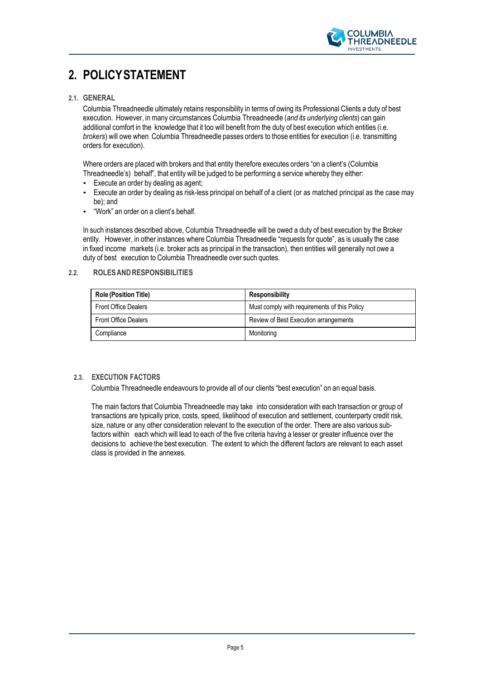

## <span id="page-4-0"></span>**2. POLICYSTATEMENT**

#### <span id="page-4-1"></span>**2.1. GENERAL**

Columbia Threadneedle ultimately retains responsibility in terms of owing its Professional Clients a duty of best execution. However, in many circumstances Columbia Threadneedle (*and its underlying clients*) can gain additional comfort in the knowledge that it too will benefit from the duty of best execution which entities (i.e. *brokers*) will owe when Columbia Threadneedle passes orders to those entities for execution (i.e. transmitting orders for execution).

Where orders are placed with brokers and that entity therefore executes orders "on a client's (Columbia Threadneedle's) behalf", that entity will be judged to be performing a service whereby they either:

- Execute an order by dealing as agent;
- Execute an order by dealing as risk-less principal on behalf of a client (or as matched principal as the case may be); and
- "Work" an order on a client's behalf.

In such instances described above, Columbia Threadneedle will be owed a duty of best execution by the Broker entity. However, in other instances where Columbia Threadneedle "requests for quote", as is usually the case in fixed income markets (i.e. broker acts as principal in the transaction), then entities will generally not owe a duty of best execution to Columbia Threadneedle over such quotes.

#### <span id="page-4-2"></span>**2.2. ROLESANDRESPONSIBILITIES**

| <b>Role (Position Title)</b> | Responsibility                               |
|------------------------------|----------------------------------------------|
| <b>Front Office Dealers</b>  | Must comply with requirements of this Policy |
| <b>Front Office Dealers</b>  | Review of Best Execution arrangements        |
| Compliance                   | Monitoring                                   |

#### <span id="page-4-3"></span>**2.3. EXECUTION FACTORS**

Columbia Threadneedle endeavours to provide all of our clients "best execution" on an equal basis.

The main factors that Columbia Threadneedle may take into consideration with each transaction or group of transactions are typically price, costs, speed, likelihood of execution and settlement, counterparty credit risk, size, nature or any other consideration relevant to the execution of the order. There are also various subfactors within each which will lead to each of the five criteria having a lesser or greater influence over the decisions to achieve the best execution. The extent to which the different factors are relevant to each asset class is provided in the annexes.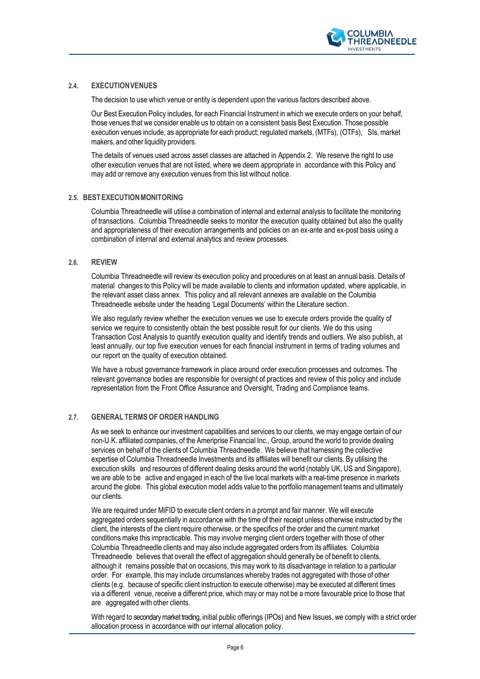

#### <span id="page-5-0"></span>**2.4. EXECUTIONVENUES**

The decision to use which venue or entity is dependent upon the various factors described above.

Our Best Execution Policy includes, for each Financial Instrument in which we execute orders on your behalf, those venues that we consider enable us to obtain on a consistent basis Best Execution. Those possible execution venues include, as appropriate for each product; regulated markets, (MTFs), (OTFs), SIs,market makers, and other liquidity providers.

The details of venues used across asset classes are attached in Appendix 2. We reserve the right to use other execution venues that are not listed, where we deem appropriate in accordance with this Policy and may add or remove any execution venues from this list without notice.

#### **2.5. BESTEXECUTIONMONITORING**

Columbia Threadneedle will utilise a combination of internal and external analysis to facilitate the monitoring of transactions. Columbia Threadneedle seeks to monitor the execution quality obtained but also the quality and appropriateness of their execution arrangements and policies on an ex-ante and ex-post basis using a combination of internal and external analytics and review processes.

#### <span id="page-5-1"></span>**2.6. REVIEW**

Columbia Threadneedle will review its execution policy and procedures on at least an annual basis. Details of material changes to this Policy will be made available to clients and information updated, where applicable, in the relevant asset class annex. This policy and all relevant annexes are available on the Columbia Threadneedle website under the heading 'Legal Documents' within the Literature section.

We also regularly review whether the execution venues we use to execute orders provide the quality of service we require to consistently obtain the best possible result for our clients. We do this using Transaction Cost Analysis to quantify execution quality and identify trends and outliers. We also publish, at least annually, our top five execution venues for each financial instrument in terms of trading volumes and our report on the quality of execution obtained.

We have a robust governance framework in place around order execution processes and outcomes. The relevant governance bodies are responsible for oversight of practices and review of this policy and include representation from the Front Office Assurance and Oversight, Trading and Compliance teams.

#### **2.7. GENERAL TERMSOF ORDER HANDLING**

As we seek to enhance our investment capabilities and services to our clients, we may engage certain of our non-U.K. affiliated companies, of the Ameriprise Financial Inc., Group, around the world to provide dealing services on behalf of the clients of Columbia Threadneedle. We believe that harnessing the collective expertise of Columbia Threadneedle Investments and its affiliates will benefit our clients. By utilising the execution skills and resources of different dealing desks around the world (notably UK, US and Singapore), we are able to be active and engaged in each of the live local markets with a real-time presence in markets around the globe. This global execution model adds value to the portfolio management teams and ultimately our clients.

We are required under MiFID to execute client orders in a prompt and fair manner. We will execute aggregated orders sequentially in accordance with the time of their receipt unless otherwise instructed by the client, the interests of the client require otherwise, or the specifics of the order and the current market conditions make this impracticable. This may involve merging client orders together with those of other Columbia Threadneedle clients and may also include aggregated orders from its affiliates. Columbia Threadneedle believes that overall the effect of aggregation should generally be of benefit to clients, although it remains possible that on occasions, this may work to its disadvantage in relation to a particular order. For example, this may include circumstances whereby trades not aggregated with those of other clients (e.g. because of specific client instruction to execute otherwise) may be executed at different times via a different venue, receive a different price, which may or may not be a more favourable price to those that are aggregated with other clients.

With regard to secondary market trading, initial public offerings (IPOs) and New Issues, we comply with a strict order allocation process in accordance with our internal allocation policy.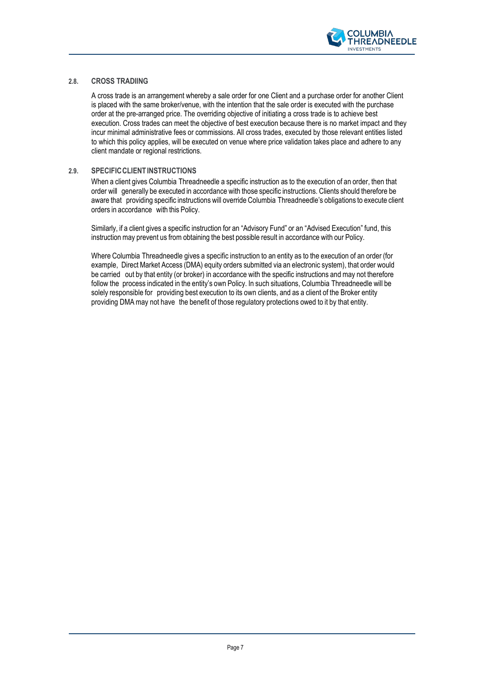

#### **2.8. CROSS TRADIING**

A cross trade is an arrangement whereby a sale order for one Client and a purchase order for another Client is placed with the same broker/venue, with the intention that the sale order is executed with the purchase order at the pre-arranged price. The overriding objective of initiating a cross trade is to achieve best execution. Cross trades can meet the objective of best execution because there is no market impact and they incur minimal administrative fees or commissions. All cross trades, executed by those relevant entities listed to which this policy applies, will be executed on venue where price validation takes place and adhere to any client mandate or regional restrictions.

#### **2.9. SPECIFICCLIENTINSTRUCTIONS**

When a client gives Columbia Threadneedle a specific instruction as to the execution of an order, then that order will generally be executed in accordance with those specific instructions. Clients should therefore be aware that providing specific instructions will override Columbia Threadneedle's obligations to execute client orders in accordance with this Policy.

Similarly, if a client gives a specific instruction for an "Advisory Fund" or an "Advised Execution" fund, this instruction may prevent us from obtaining the best possible result in accordance with our Policy.

Where Columbia Threadneedle gives a specific instruction to an entity as to the execution of an order (for example, Direct Market Access (DMA) equity orders submitted via an electronic system), that order would be carried out by that entity (or broker) in accordance with the specific instructions and may not therefore follow the process indicated in the entity's own Policy. In such situations, Columbia Threadneedle will be solely responsible for providing best execution to its own clients, and as a client of the Broker entity providing DMA may not have the benefit of those regulatory protections owed to it by that entity.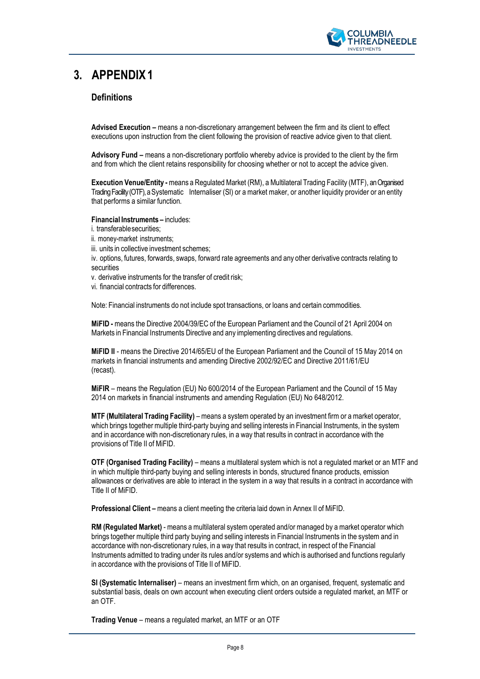

### <span id="page-7-0"></span>**3. APPENDIX1**

#### **Definitions**

**Advised Execution –** means a non-discretionary arrangement between the firm and its client to effect executions upon instruction from the client following the provision of reactive advice given to that client.

**Advisory Fund –** means a non-discretionary portfolio whereby advice is provided to the client by the firm and from which the client retains responsibility for choosing whether or not to accept the advice given.

**Execution Venue/Entity -** means a Regulated Market (RM), a Multilateral Trading Facility (MTF), an Organised Trading Facility (OTF), a Systematic Internaliser (SI) or a market maker, or another liquidity provider or an entity that performs a similar function.

**Financial Instruments –** includes:

- i. transferablesecurities;
- ii. money-market instruments;
- iii. units in collective investment schemes;

iv. options, futures, forwards, swaps, forward rate agreements and any other derivative contracts relating to securities

- v. derivative instruments for the transfer of credit risk;
- vi. financial contracts for differences.

Note: Financial instruments do not include spot transactions, or loans and certain commodities.

**MiFID -** means the Directive 2004/39/EC of the European Parliament and the Council of 21 April 2004 on Markets in Financial Instruments Directive and any implementing directives and regulations.

**MiFID II** - means the Directive 2014/65/EU of the European Parliament and the Council of 15 May 2014 on markets in financial instruments and amending Directive 2002/92/EC and Directive 2011/61/EU (recast).

**MiFIR** – means the Regulation (EU) No 600/2014 of the European Parliament and the Council of 15 May 2014 on markets in financial instruments and amending Regulation (EU) No 648/2012.

**MTF** (Multilateral Trading Facility) – means a system operated by an investment firm or a market operator, which brings together multiple third-party buying and selling interests in Financial Instruments, in the system and in accordance with non-discretionary rules, in a way that results in contract in accordance with the provisions of Title II of MiFID.

**OTF (Organised Trading Facility)** – means a multilateral system which is not a regulated market or an MTF and in which multiple third-party buying and selling interests in bonds, structured finance products, emission allowances or derivatives are able to interact in the system in a way that results in a contract in accordance with Title II of MiFID.

**Professional Client –** means a client meeting the criteria laid down in Annex II of MiFID.

**RM (Regulated Market)** - means a multilateral system operated and/or managed by a market operator which brings together multiple third party buying and selling interests in Financial Instruments in the system and in accordance with non-discretionary rules, in a way that results in contract, in respect of the Financial Instruments admitted to trading under its rules and/or systems and which is authorised and functions regularly in accordance with the provisions of Title II of MiFID.

**SI (Systematic Internaliser)** – means an investment firm which, on an organised, frequent, systematic and substantial basis, deals on own account when executing client orders outside a regulated market, an MTF or an OTF.

**Trading Venue** – means a regulated market, an MTF or an OTF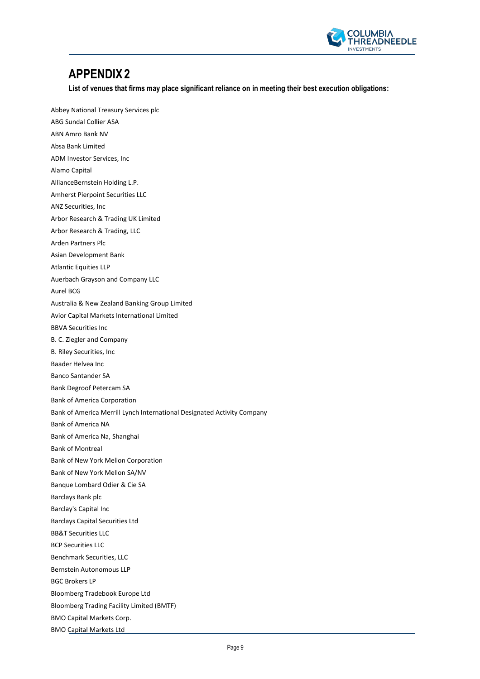

### **APPENDIX2**

**List of venues that firms may place significant reliance on in meeting their best execution obligations:**

Abbey National Treasury Services plc ABG Sundal Collier ASA ABN Amro Bank NV Absa Bank Limited ADM Investor Services, Inc Alamo Capital AllianceBernstein Holding L.P. Amherst Pierpoint Securities LLC ANZ Securities, Inc Arbor Research & Trading UK Limited Arbor Research & Trading, LLC Arden Partners Plc Asian Development Bank Atlantic Equities LLP Auerbach Grayson and Company LLC Aurel BCG Australia & New Zealand Banking Group Limited Avior Capital Markets International Limited BBVA Securities Inc B. C. Ziegler and Company B. Riley Securities, Inc Baader Helvea Inc Banco Santander SA Bank Degroof Petercam SA Bank of America Corporation Bank of America Merrill Lynch International Designated Activity Company Bank of America NA Bank of America Na, Shanghai Bank of Montreal Bank of New York Mellon Corporation Bank of New York Mellon SA/NV Banque Lombard Odier & Cie SA Barclays Bank plc Barclay's Capital Inc Barclays Capital Securities Ltd BB&T Securities LLC BCP Securities LLC Benchmark Securities, LLC Bernstein Autonomous LLP BGC Brokers LP Bloomberg Tradebook Europe Ltd Bloomberg Trading Facility Limited (BMTF) BMO Capital Markets Corp. BMO Capital Markets Ltd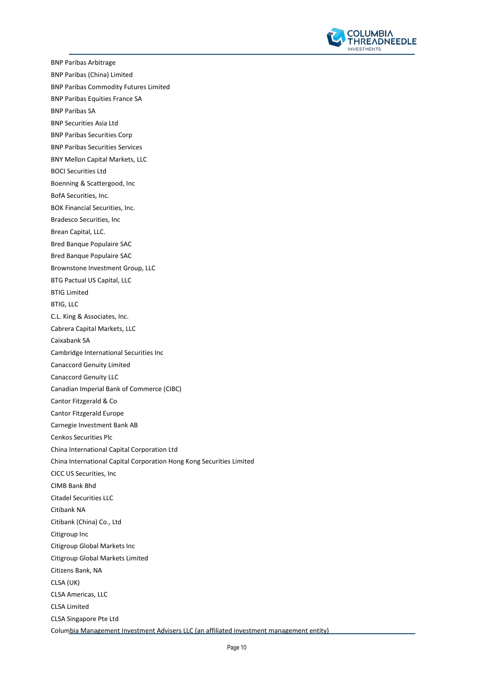

BNP Paribas Arbitrage BNP Paribas (China) Limited BNP Paribas Commodity Futures Limited BNP Paribas Equities France SA BNP Paribas SA BNP Securities Asia Ltd BNP Paribas Securities Corp BNP Paribas Securities Services BNY Mellon Capital Markets, LLC BOCI Securities Ltd Boenning & Scattergood, Inc BofA Securities, Inc. BOK Financial Securities, Inc. Bradesco Securities, Inc Brean Capital, LLC. Bred Banque Populaire SAC Bred Banque Populaire SAC Brownstone Investment Group, LLC BTG Pactual US Capital, LLC BTIG Limited BTIG, LLC C.L. King & Associates, Inc. Cabrera Capital Markets, LLC Caixabank SA Cambridge International Securities Inc Canaccord Genuity Limited Canaccord Genuity LLC Canadian Imperial Bank of Commerce (CIBC) Cantor Fitzgerald & Co Cantor Fitzgerald Europe Carnegie Investment Bank AB Cenkos Securities Plc China International Capital Corporation Ltd China International Capital Corporation Hong Kong Securities Limited CICC US Securities, Inc CIMB Bank Bhd Citadel Securities LLC Citibank NA Citibank (China) Co., Ltd Citigroup Inc Citigroup Global Markets Inc Citigroup Global Markets Limited Citizens Bank, NA CLSA (UK) CLSA Americas, LLC CLSA Limited CLSA Singapore Pte Ltd Columbia Management Investment Advisers LLC (an affiliated investment management entity)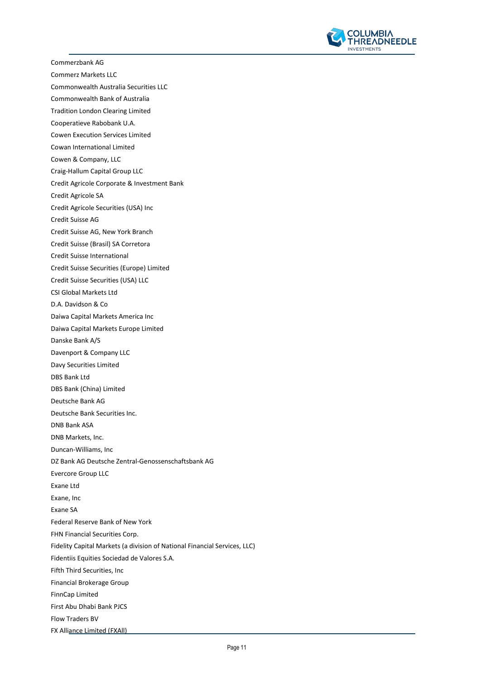

Commerzbank AG

Commerz Markets LLC

Commonwealth Australia Securities LLC

Commonwealth Bank of Australia

Tradition London Clearing Limited

Cooperatieve Rabobank U.A.

Cowen Execution Services Limited

Cowan International Limited

Cowen & Company, LLC

Craig-Hallum Capital Group LLC

Credit Agricole Corporate & Investment Bank

Credit Agricole SA

Credit Agricole Securities (USA) Inc

Credit Suisse AG

Credit Suisse AG, New York Branch

Credit Suisse (Brasil) SA Corretora

Credit Suisse International

Credit Suisse Securities (Europe) Limited

Credit Suisse Securities (USA) LLC

CSI Global Markets Ltd

D.A. Davidson & Co

Daiwa Capital Markets America Inc

Daiwa Capital Markets Europe Limited

Danske Bank A/S

Davenport & Company LLC

Davy Securities Limited

DBS Bank Ltd

DBS Bank (China) Limited

Deutsche Bank AG

Deutsche Bank Securities Inc.

DNB Bank ASA

DNB Markets, Inc.

Duncan-Williams, Inc

DZ Bank AG Deutsche Zentral-Genossenschaftsbank AG

Evercore Group LLC

Exane Ltd

Exane, Inc

Exane SA

Federal Reserve Bank of New York

FHN Financial Securities Corp.

Fidelity Capital Markets (a division of National Financial Services, LLC)

Fidentiis Equities Sociedad de Valores S.A.

Fifth Third Securities, Inc

Financial Brokerage Group

FinnCap Limited

First Abu Dhabi Bank PJCS

Flow Traders BV

FX Alliance Limited (FXAll)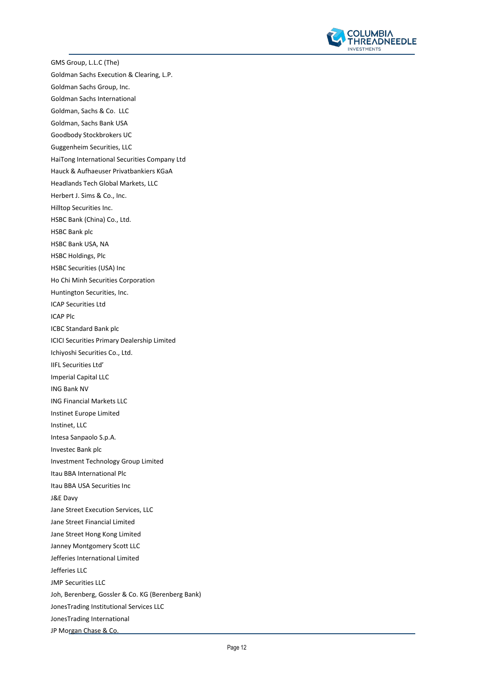

GMS Group, L.L.C (The) Goldman Sachs Execution & Clearing, L.P. Goldman Sachs Group, Inc. Goldman Sachs International Goldman, Sachs & Co. LLC Goldman, Sachs Bank USA Goodbody Stockbrokers UC Guggenheim Securities, LLC HaiTong International Securities Company Ltd Hauck & Aufhaeuser Privatbankiers KGaA Headlands Tech Global Markets, LLC Herbert J. Sims & Co., Inc. Hilltop Securities Inc. HSBC Bank (China) Co., Ltd. HSBC Bank plc HSBC Bank USA, NA HSBC Holdings, Plc HSBC Securities (USA) Inc Ho Chi Minh Securities Corporation Huntington Securities, Inc. ICAP Securities Ltd ICAP Plc ICBC Standard Bank plc ICICI Securities Primary Dealership Limited Ichiyoshi Securities Co., Ltd. IIFL Securities Ltd' Imperial Capital LLC ING Bank NV ING Financial Markets LLC Instinet Europe Limited Instinet, LLC Intesa Sanpaolo S.p.A. Investec Bank plc Investment Technology Group Limited Itau BBA International Plc Itau BBA USA Securities Inc J&E Davy Jane Street Execution Services, LLC Jane Street Financial Limited Jane Street Hong Kong Limited Janney Montgomery Scott LLC Jefferies International Limited Jefferies LLC JMP Securities LLC Joh, Berenberg, Gossler & Co. KG (Berenberg Bank) JonesTrading Institutional Services LLC JonesTrading International JP Morgan Chase & Co.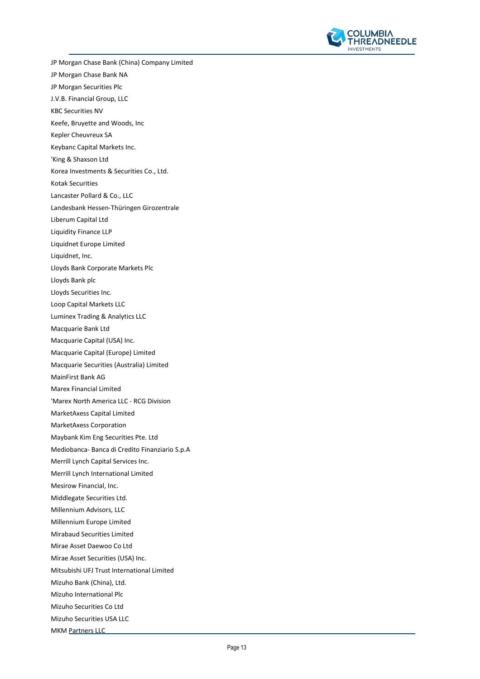

JP Morgan Chase Bank (China) Company Limited JP Morgan Chase Bank NA JP Morgan Securities Plc J.V.B. Financial Group, LLC KBC Securities NV Keefe, Bruyette and Woods, Inc Kepler Cheuvreux SA Keybanc Capital Markets Inc. 'King & Shaxson Ltd Korea Investments & Securities Co., Ltd. Kotak Securities Lancaster Pollard & Co., LLC Landesbank Hessen-Thüringen Girozentrale Liberum Capital Ltd Liquidity Finance LLP Liquidnet Europe Limited Liquidnet, Inc. Lloyds Bank Corporate Markets Plc Lloyds Bank plc Lloyds Securities Inc. Loop Capital Markets LLC Luminex Trading & Analytics LLC Macquarie Bank Ltd Macquarie Capital (USA) Inc. Macquarie Capital (Europe) Limited Macquarie Securities (Australia) Limited MainFirst Bank AG Marex Financial Limited 'Marex North America LLC - RCG Division MarketAxess Capital Limited MarketAxess Corporation Maybank Kim Eng Securities Pte. Ltd Mediobanca- Banca di Credito Finanziario S.p.A Merrill Lynch Capital Services Inc. Merrill Lynch International Limited Mesirow Financial, Inc. Middlegate Securities Ltd. Millennium Advisors, LLC Millennium Europe Limited Mirabaud Securities Limited Mirae Asset Daewoo Co Ltd Mirae Asset Securities (USA) Inc. Mitsubishi UFJ Trust International Limited Mizuho Bank (China), Ltd. Mizuho International Plc Mizuho Securities Co Ltd Mizuho Securities USA LLC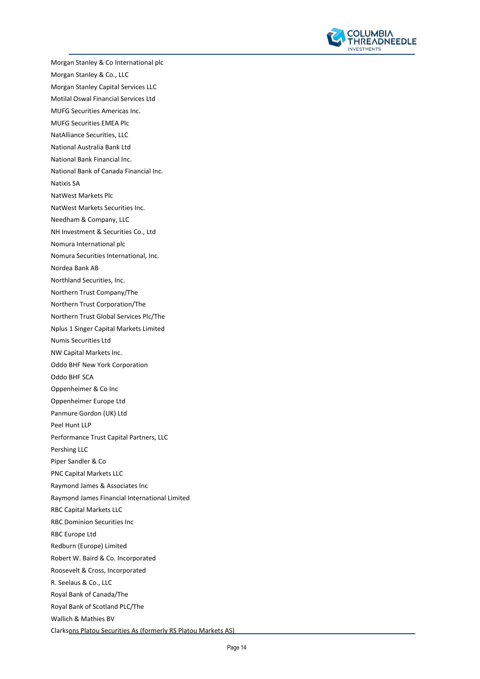

Morgan Stanley & Co International plc Morgan Stanley & Co., LLC Morgan Stanley Capital Services LLC Motilal Oswal Financial Services Ltd MUFG Securities Americas Inc. MUFG Securities EMEA Plc NatAlliance Securities, LLC National Australia Bank Ltd National Bank Financial Inc. National Bank of Canada Financial Inc. Natixis SA NatWest Markets Plc NatWest Markets Securities Inc. Needham & Company, LLC NH Investment & Securities Co., Ltd Nomura International plc Nomura Securities International, Inc. Nordea Bank AB Northland Securities, Inc. Northern Trust Company/The Northern Trust Corporation/The Northern Trust Global Services Plc/The Nplus 1 Singer Capital Markets Limited Numis Securities Ltd NW Capital Markets Inc. Oddo BHF New York Corporation Oddo BHF SCA Oppenheimer & Co Inc Oppenheimer Europe Ltd Panmure Gordon (UK) Ltd Peel Hunt LLP Performance Trust Capital Partners, LLC Pershing LLC Piper Sandler & Co PNC Capital Markets LLC Raymond James & Associates Inc Raymond James Financial International Limited RBC Capital Markets LLC RBC Dominion Securities Inc RBC Europe Ltd Redburn (Europe) Limited Robert W. Baird & Co. Incorporated Roosevelt & Cross, Incorporated R. Seelaus & Co., LLC Royal Bank of Canada/The Royal Bank of Scotland PLC/The Wallich & Mathies BV Clarksons Platou Securities As (formerly RS Platou Markets AS)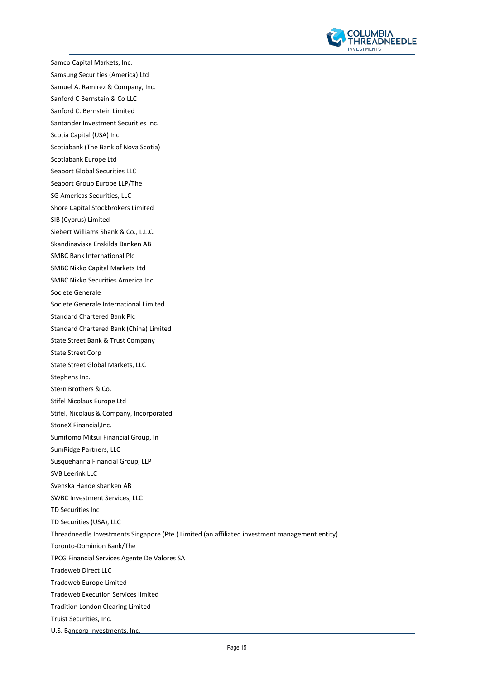

Samco Capital Markets, Inc. Samsung Securities (America) Ltd Samuel A. Ramirez & Company, Inc. Sanford C Bernstein & Co LLC Sanford C. Bernstein Limited Santander Investment Securities Inc. Scotia Capital (USA) Inc. Scotiabank (The Bank of Nova Scotia) Scotiabank Europe Ltd Seaport Global Securities LLC Seaport Group Europe LLP/The SG Americas Securities, LLC Shore Capital Stockbrokers Limited SIB (Cyprus) Limited Siebert Williams Shank & Co., L.L.C. Skandinaviska Enskilda Banken AB SMBC Bank International Plc SMBC Nikko Capital Markets Ltd SMBC Nikko Securities America Inc Societe Generale Societe Generale International Limited Standard Chartered Bank Plc Standard Chartered Bank (China) Limited State Street Bank & Trust Company State Street Corp State Street Global Markets, LLC Stephens Inc. Stern Brothers & Co. Stifel Nicolaus Europe Ltd Stifel, Nicolaus & Company, Incorporated StoneX Financial,Inc. Sumitomo Mitsui Financial Group, In SumRidge Partners, LLC Susquehanna Financial Group, LLP SVB Leerink LLC Svenska Handelsbanken AB SWBC Investment Services, LLC TD Securities Inc TD Securities (USA), LLC Threadneedle Investments Singapore (Pte.) Limited (an affiliated investment management entity) Toronto-Dominion Bank/The TPCG Financial Services Agente De Valores SA Tradeweb Direct LLC Tradeweb Europe Limited Tradeweb Execution Services limited Tradition London Clearing Limited Truist Securities, Inc.

U.S. Bancorp Investments, Inc.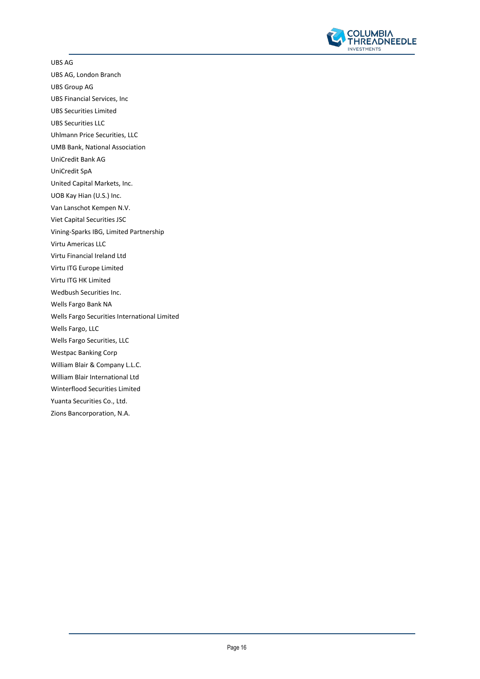

UBS AG

UBS AG, London Branch

UBS Group AG

UBS Financial Services, Inc

UBS Securities Limited

UBS Securities LLC

Uhlmann Price Securities, LLC

UMB Bank, National Association

UniCredit Bank AG

UniCredit SpA

United Capital Markets, Inc.

UOB Kay Hian (U.S.) Inc.

Van Lanschot Kempen N.V.

Viet Capital Securities JSC

Vining-Sparks IBG, Limited Partnership

Virtu Americas LLC

Virtu Financial Ireland Ltd

Virtu ITG Europe Limited

Virtu ITG HK Limited

Wedbush Securities Inc.

Wells Fargo Bank NA

Wells Fargo Securities International Limited

Wells Fargo, LLC

Wells Fargo Securities, LLC

Westpac Banking Corp

William Blair & Company L.L.C.

William Blair International Ltd

Winterflood Securities Limited

Yuanta Securities Co., Ltd. Zions Bancorporation, N.A.